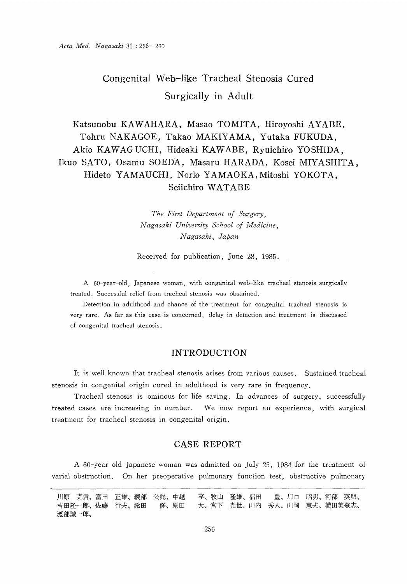# Congenital Web-like Tracheal Stenosis Cured Surgically in Adult

## Katsunobu KAWAHARA, Masao TOMITA, Hiroyoshi AYABE, Tohru NAKAGOE, Takao MAKIYAMA, Yutaka FUKUDA, Akio KAWAGUCHI, Hideaki KAWABE, Ryuichiro YOSHIDA, Ikuo SATO, Osamu SOEDA, Masaru HARADA, Kosei MIYASHITA, Hideto YAMAUCHI, Norio YAMAOKA, Mitoshi YOKOTA, Seiichiro WATABE

 The First Department of Surgery, Nagasaki University School of Medicine, Nagasaki, Japan

Received for publication, June 28, 1985.

 A 60-year-old, Japanese woman, with congenital web-like tracheal stenosis surgically treated. Successful relief from tracheal stenosis was obstained.

Detection in adulthood and chance of the treatment for congenital tracheal stenosis is very rare. As far as this case is concerned, delay in detection and treatment is discussed of congenital tracheal stenosis.

### INTRODUCTION

It is well known that tracheal stenosis arises from various causes. Sustained tracheal stenosis in congenital origin cured in adulthood is very rare in frequency.

Tracheal stenosis is ominous for life saving. In advances of surgery, successfully treated cases are increasing in number. We now report an experience, with surgical treatment for tracheal stenosis in congenital origin.

## CASE REPORT

A 60-year old Japanese woman was admitted on July 25, 1984 for the treatment of varial obstruction. On her preoperative pulmonary function test, obstructive pulmonary

川原 克信、富田 正雄、綾部 公懿、中越 享、牧山 隆雄、福田 豊、川口 昭男、河部 英明、 吉田隆一郎、佐藤 行夫、添田 修、原田 大、宮下 光世、山内 秀人、山岡 憲夫、横田美登志、 渡部誠一郎、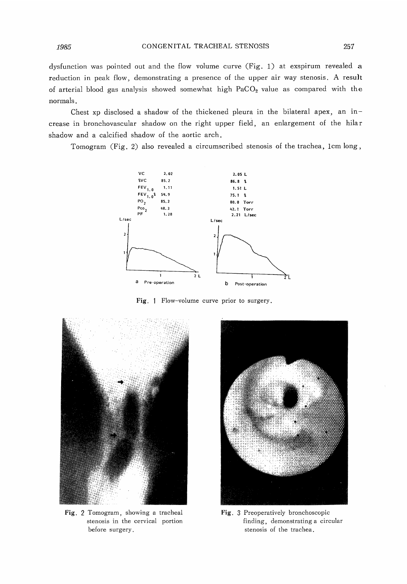dysfunction was pointed out and the flow volume curve (Fig. 1) at exspirum revealed a reduction in peak flow, demonstrating a presence of the upper air way stenosis. A result of arterial blood gas analysis showed somewhat high PaCO<sub>2</sub> value as compared with the normals.

 Chest xp disclosed a shadow of the thickened pleura in the bilateral apex, an increase in bronchovascular shadow on the right upper field, an enlargement of the hilar shadow and a calcified shadow of the aortic arch.

Tomogram (Fig. 2) also revealed a circumscribed stenosis of the trachea, 1cm long,



Fig. 1 Flow-volume curve prior to surgery.



Fig. 2 Tomogram, showing a tracheal stenosis in the cervical portion before surgery.



Fig. 3 Preoperatively bronchoscopic finding, demonstrating a circular stenosis of the trachea.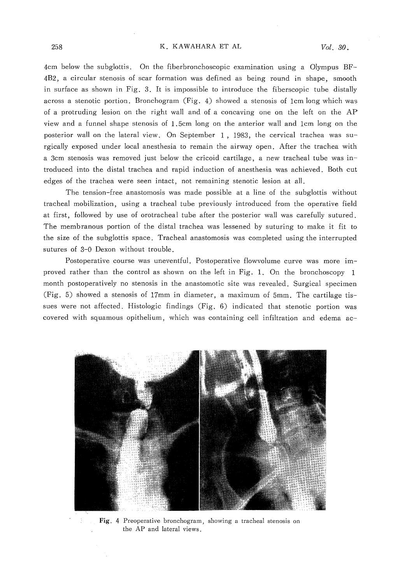#### K. KAWAHARA ET AL

4cm below the subglottis. On the fiberbronchoscopic examination using a Olympus BF-4B2, a circular stenosis of scar formation was defined as being round in shape, smooth in surface as shown in Fig. 3. It is impossible to introduce the fiberscopic tube distally across a stenotic portion. Bronchogram (Fig. 4) showed a stenosis of 1cm long which was of a protruding lesion on the right wall and of a concaving one on the left on the AP view and a funnel shape stenosis of 1.5cm long on the anterior wall and 1cm long on the posterior wall on the lateral view. On September 1 , 1983, the cervical trachea was surgically exposed under local anesthesia to remain the airway open. After the trachea with a 3cm stenosis was removed just below the cricoid cartilage, a new tracheal tube was introduced into the distal trachea and rapid induction of anesthesia was achieved. Both cut edges of the trachea were seen intact, not remaining stenotic lesion at all.

The tension-free anastomosis was made possible at a line of the subglottis without tracheal mobilization, using a tracheal tube previously introduced from the operative field at first, followed by use of orotracheal tube after the posterior wall was carefully sutured. The membranous portion of the distal trachea was lessened by suturing to make it fit to the size of the subglottis space. Tracheal anastomosis was completed using the interrupted sutures of 3-0 Dexon without trouble.

Postoperative course was uneventful. Postoperative flowvolume curve was more improved rather than the control as shown on the left in Fig. 1. On the bronchoscopy 1 month postoperatively no stenosis in the anastomotic site was revealed. Surgical specimen (Fig. 5) showed a stenosis of 17mm in diameter, a maximum of 5mm. The cartilage tissues were not affected. Histologic findings (Fig. 6) indicated that stenotic portion was covered with squamous opithelium, which was containing cell infiltration and edema ac-



Fig. 4 Preoperative bronchogram, showing a tracheal stenosis on the AP and lateral views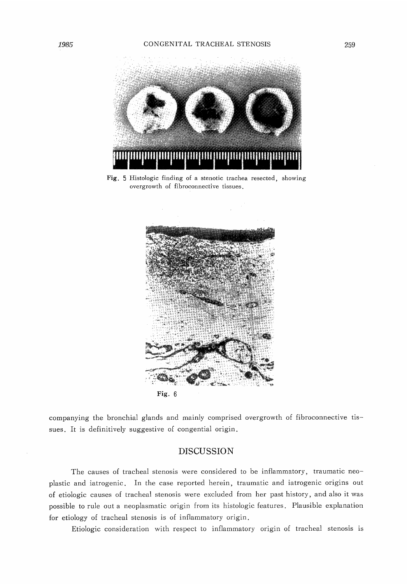

Fig. 5 Histologic finding of a stenotic trachea resected, showing overgrowth of fibroconnective tissues.



companying the bronchial glands and mainly comprised overgrowth of fibroconnective tissues. It is definitively suggestive of congential origin.

#### DISCUSSION

The causes of tracheal stenosis were considered to be inflammatory, traumatic neoplastic and iatrogenic. In the case reported herein, traumatic and iatrogenic origins out of etiologic causes of tracheal stenosis were excluded from her past history, and also it was possible to rule out a neoplasmatic origin from its histologic features. Plausible explanation for etiology of tracheal stenosis is of inflammatory origin.

Etiologic consideration with respect to inflammatory origin of tracheal stenosis is